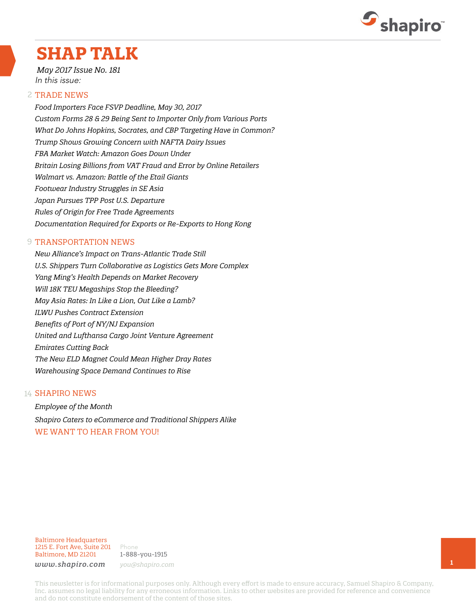

# **SHAP TALK**

*May 2017 Issue No. 181* In this issue:

#### 2 TRADE NEWS

*Food Importers Face FSVP Deadline, May 30, 2017 Custom Forms 28 & 29 Being Sent to Importer Only from Various Ports What Do Johns Hopkins, Socrates, and CBP Targeting Have in Common? Trump Shows Growing Concern with NAFTA Dairy Issues FBA Market Watch: Amazon Goes Down Under Britain Losing Billions from VAT Fraud and Error by Online Retailers Walmart vs. Amazon: Battle of the Etail Giants Footwear Industry Struggles in SE Asia Japan Pursues TPP Post U.S. Departure Rules of Origin for Free Trade Agreements Documentation Required for Exports or Re-Exports to Hong Kong* 

#### **9 TRANSPORTATION NEWS**

*New Alliance's Impact on Trans-Atlantic Trade Still U.S. Shippers Turn Collaborative as Logistics Gets More Complex Yang Ming's Health Depends on Market Recovery Will 18K TEU Megaships Stop the Bleeding? May Asia Rates: In Like a Lion, Out Like a Lamb? ILWU Pushes Contract Extension Benefits of Port of NY/NJ Expansion United and Lufthansa Cargo Joint Venture Agreement Emirates Cutting Back The New ELD Magnet Could Mean Higher Dray Rates Warehousing Space Demand Continues to Rise*

#### 14 **SHAPIRO NEWS**

*Employee of the Month Shapiro Caters to eCommerce and Traditional Shippers Alike* WE WANT TO HEAR FROM YOU!

Baltimore Headquarters 1215 E. Fort Ave, Suite 201 Baltimore, MD 21201

Phone 1-888-you-1915 *www.shapiro.com you@shapiro.com*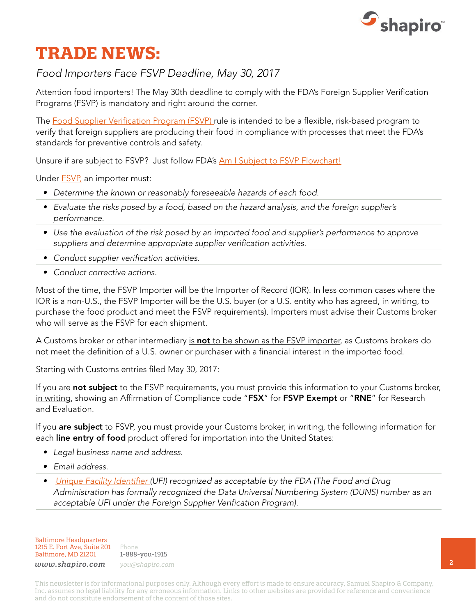

# **TRADE NEWS:**

## *Food Importers Face FSVP Deadline, May 30, 2017*

Attention food importers! The May 30th deadline to comply with the FDA's Foreign Supplier Verification Programs (FSVP) is mandatory and right around the corner.

The [Food Supplier Verification Program \(FSVP\)](http://www.shapiro.com/newsletters/april-2017-issue-180/#st-3) rule is intended to be a flexible, risk-based program to verify that foreign suppliers are producing their food in compliance with processes that meet the FDA's standards for preventive controls and safety.

Unsure if are subject to FSVP? Just follow FDA's [Am I Subject to FSVP Flowchart!](https://www.fda.gov/downloads/Food/GuidanceRegulation/FSMA/UCM472461.pdf)

Under **FSVP**, an importer must:

- *• Determine the known or reasonably foreseeable hazards of each food.*
- *• Evaluate the risks posed by a food, based on the hazard analysis, and the foreign supplier's performance.*
- *• Use the evaluation of the risk posed by an imported food and supplier's performance to approve suppliers and determine appropriate supplier verification activities.*
- *• Conduct supplier verification activities.*
- *• Conduct corrective actions.*

Most of the time, the FSVP Importer will be the Importer of Record (IOR). In less common cases where the IOR is a non-U.S., the FSVP Importer will be the U.S. buyer (or a U.S. entity who has agreed, in writing, to purchase the food product and meet the FSVP requirements). Importers must advise their Customs broker who will serve as the FSVP for each shipment.

A Customs broker or other intermediary is not to be shown as the FSVP importer, as Customs brokers do not meet the definition of a U.S. owner or purchaser with a financial interest in the imported food.

Starting with Customs entries filed May 30, 2017:

If you are not subject to the FSVP requirements, you must provide this information to your Customs broker, in writing, showing an Affirmation of Compliance code "FSX" for FSVP Exempt or "RNE" for Research and Evaluation.

If you are subject to FSVP, you must provide your Customs broker, in writing, the following information for each line entry of food product offered for importation into the United States:

- *• Legal business name and address.*
- *• Email address.*
- *• [Unique Facility Identifier \(](https://www.fda.gov/downloads/Food/GuidanceRegulation/GuidanceDocumentsRegulatoryInformation/UCM549647.pdf)UFI) recognized as acceptable by the FDA (The Food and Drug Administration has formally recognized the Data Universal Numbering System (DUNS) number as an acceptable UFI under the Foreign Supplier Verification Program).*

Baltimore Headquarters 1215 E. Fort Ave, Suite 201 Baltimore, MD 21201

Phone 1-888-you-1915 *www.shapiro.com you@shapiro.com*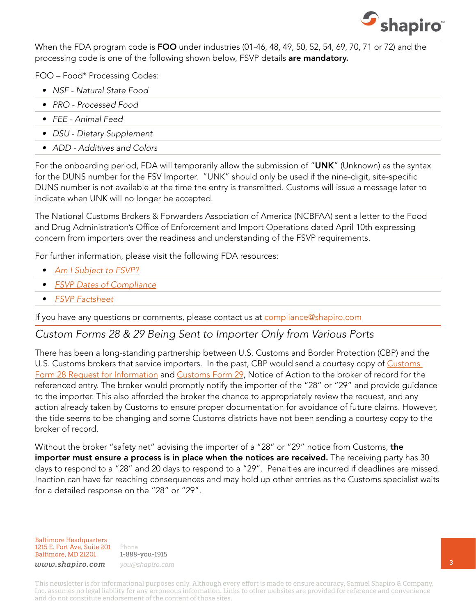

When the FDA program code is FOO under industries (01-46, 48, 49, 50, 52, 54, 69, 70, 71 or 72) and the processing code is one of the following shown below, FSVP details are mandatory.

FOO – Food\* Processing Codes:

- *• NSF Natural State Food*
- *• PRO Processed Food*
- *• FEE Animal Feed*
- *• DSU Dietary Supplement*
- *• ADD Additives and Colors*

For the onboarding period, FDA will temporarily allow the submission of "UNK" (Unknown) as the syntax for the DUNS number for the FSV Importer. "UNK" should only be used if the nine-digit, site-specific DUNS number is not available at the time the entry is transmitted. Customs will issue a message later to indicate when UNK will no longer be accepted.

The National Customs Brokers & Forwarders Association of America (NCBFAA) sent a letter to the Food and Drug Administration's Office of Enforcement and Import Operations dated April 10th expressing concern from importers over the readiness and understanding of the FSVP requirements.

For further information, please visit the following FDA resources:

- *• [Am I Subject to FSVP?](https://www.fda.gov/downloads/Food/GuidanceRegulation/FSMA/UCM472461.pdf)*
- *• [FSVP Dates of Compliance](http://links.govdelivery.com/track?type=click&enid=ZWFzPTEmbWFpbGluZ2lkPTIwMTcwMzMxLjcxNzg0MTMxJm1lc3NhZ2VpZD1NREItUFJELUJVTC0yMDE3MDMzMS43MTc4NDEzMSZkYXRhYmFzZWlkPTEwMDEmc2VyaWFsPTE3NDAyMzg4JmVtYWlsaWQ9b3R0YXZpby5wYXJlbnRpQGZkYS5oaHMuZ292JnVzZXJpZD1vdHRhdmlvLnBhcmVudGlAZmRhLmhocy5nb3YmZmw9JmV4dHJhPU11bHRpdmFyaWF0ZUlkPSYmJg==&&&105&&&https://www.fda.gov/Food/GuidanceRegulation/FSMA/ucm503822.htm?source=govdelivery&utm_medium=email&utm_source=govdelivery)*
- *• [FSVP Factsheet](http://links.govdelivery.com/track?type=click&enid=ZWFzPTEmbWFpbGluZ2lkPTIwMTcwMzMxLjcxNzg0MTMxJm1lc3NhZ2VpZD1NREItUFJELUJVTC0yMDE3MDMzMS43MTc4NDEzMSZkYXRhYmFzZWlkPTEwMDEmc2VyaWFsPTE3NDAyMzg4JmVtYWlsaWQ9b3R0YXZpby5wYXJlbnRpQGZkYS5oaHMuZ292JnVzZXJpZD1vdHRhdmlvLnBhcmVudGlAZmRhLmhocy5nb3YmZmw9JmV4dHJhPU11bHRpdmFyaWF0ZUlkPSYmJg==&&&106&&&https://www.fda.gov/downloads/Food/GuidanceRegulation/FSMA/UCM472890.pdf?source=govdelivery&utm_medium=email&utm_source=govdelivery)*

If you have any questions or comments, please contact us at [compliance@shapiro.com](mailto:compliance@shapiro.com)

#### *Custom Forms 28 & 29 Being Sent to Importer Only from Various Ports*

There has been a long-standing partnership between U.S. Customs and Border Protection (CBP) and the U.S. [Customs](https://www.cbp.gov/sites/default/files/assets/documents/2016-Sep/CBP Form 28.pdf) brokers that service importers. In the past, CBP would send a courtesy copy of Customs [Form 28 Request for Information](https://www.cbp.gov/sites/default/files/assets/documents/2016-Sep/CBP Form 28.pdf) and [Customs Form 29](http://fta.go.kr/webmodule/_PSD_FTA/apply/2_CBP_Form_29.pdf), Notice of Action to the broker of record for the referenced entry. The broker would promptly notify the importer of the "28" or "29" and provide guidance to the importer. This also afforded the broker the chance to appropriately review the request, and any action already taken by Customs to ensure proper documentation for avoidance of future claims. However, the tide seems to be changing and some Customs districts have not been sending a courtesy copy to the broker of record.

Without the broker "safety net" advising the importer of a "28" or "29" notice from Customs, the importer must ensure a process is in place when the notices are received. The receiving party has 30 days to respond to a "28" and 20 days to respond to a "29". Penalties are incurred if deadlines are missed. Inaction can have far reaching consequences and may hold up other entries as the Customs specialist waits for a detailed response on the "28" or "29".

Baltimore Headquarters 1215 E. Fort Ave, Suite 201 Baltimore, MD 21201

Phone 1-888-you-1915 *www.shapiro.com you@shapiro.com*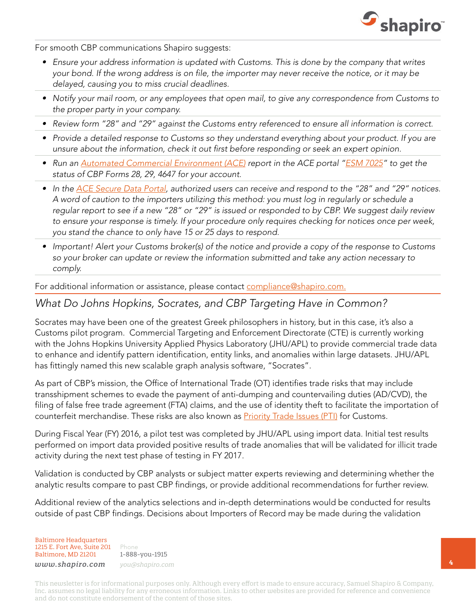

For smooth CBP communications Shapiro suggests:

- *• Ensure your address information is updated with Customs. This is done by the company that writes your bond. If the wrong address is on file, the importer may never receive the notice, or it may be delayed, causing you to miss crucial deadlines.*
- *• Notify your mail room, or any employees that open mail, to give any correspondence from Customs to the proper party in your company.*
- *• Review form "28" and "29" against the Customs entry referenced to ensure all information is correct.*
- *• Provide a detailed response to Customs so they understand everything about your product. If you are unsure about the information, check it out first before responding or seek an expert opinion.*
- Run an [Automated Commercial Environment \(ACE\)](http://www.shapiro.com/compliance/the-automated-commercial-environment-ace/) report in the ACE portal ["ESM 7025"](https://apps.cbp.gov/csms/docs/18216_377442520/Final_Instructions_for_Modifying_ESM_7025.pdf) to get the *status of CBP Forms 28, 29, 4647 for your account.*
- *• In the [ACE Secure Data Portal](http://www.shapiro.com/ace-secure-data-portal/), authorized users can receive and respond to the "28" and "29" notices. A word of caution to the importers utilizing this method: you must log in regularly or schedule a regular report to see if a new "28" or "29" is issued or responded to by CBP. We suggest daily review to ensure your response is timely. If your procedure only requires checking for notices once per week, you stand the chance to only have 15 or 25 days to respond.*
- *• Important! Alert your Customs broker(s) of the notice and provide a copy of the response to Customs so your broker can update or review the information submitted and take any action necessary to comply.*

For additional information or assistance, please contact [compliance@shapiro.com.](mailto:compliance@shapiro.com)

#### *What Do Johns Hopkins, Socrates, and CBP Targeting Have in Common?*

Socrates may have been one of the greatest Greek philosophers in history, but in this case, it's also a Customs pilot program. Commercial Targeting and Enforcement Directorate (CTE) is currently working with the Johns Hopkins University Applied Physics Laboratory (JHU/APL) to provide commercial trade data to enhance and identify pattern identification, entity links, and anomalies within large datasets. JHU/APL has fittingly named this new scalable graph analysis software, "Socrates".

As part of CBP's mission, the Office of International Trade (OT) identifies trade risks that may include transshipment schemes to evade the payment of anti-dumping and countervailing duties (AD/CVD), the filing of false free trade agreement (FTA) claims, and the use of identity theft to facilitate the importation of counterfeit merchandise. These risks are also known as **[Priority Trade Issues \(PTI\)](https://www.cbp.gov/trade/priority-issues)** for Customs.

During Fiscal Year (FY) 2016, a pilot test was completed by JHU/APL using import data. Initial test results performed on import data provided positive results of trade anomalies that will be validated for illicit trade activity during the next test phase of testing in FY 2017.

Validation is conducted by CBP analysts or subject matter experts reviewing and determining whether the analytic results compare to past CBP findings, or provide additional recommendations for further review.

Additional review of the analytics selections and in-depth determinations would be conducted for results outside of past CBP findings. Decisions about Importers of Record may be made during the validation

Baltimore Headquarters 1215 E. Fort Ave, Suite 201 Baltimore, MD 21201

Phone 1-888-you-1915 *www.shapiro.com you@shapiro.com*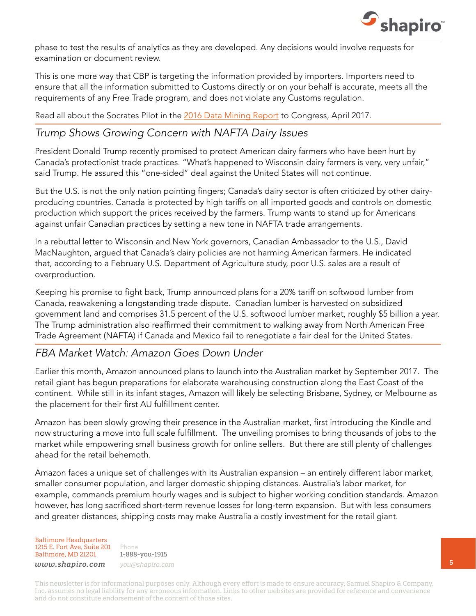

phase to test the results of analytics as they are developed. Any decisions would involve requests for examination or document review.

This is one more way that CBP is targeting the information provided by importers. Importers need to ensure that all the information submitted to Customs directly or on your behalf is accurate, meets all the requirements of any Free Trade program, and does not violate any Customs regulation.

Read all about the Socrates Pilot in the [2016 Data Mining Report](https://www.dhs.gov/sites/default/files/publications/2016 Data Mining Report FINAL.pdf) to Congress, April 2017.

#### *Trump Shows Growing Concern with NAFTA Dairy Issues*

President Donald Trump recently promised to protect American dairy farmers who have been hurt by Canada's protectionist trade practices. "What's happened to Wisconsin dairy farmers is very, very unfair," said Trump. He assured this "one-sided" deal against the United States will not continue.

But the U.S. is not the only nation pointing fingers; Canada's dairy sector is often criticized by other dairyproducing countries. Canada is protected by high tariffs on all imported goods and controls on domestic production which support the prices received by the farmers. Trump wants to stand up for Americans against unfair Canadian practices by setting a new tone in NAFTA trade arrangements.

In a rebuttal letter to Wisconsin and New York governors, Canadian Ambassador to the U.S., David MacNaughton, argued that Canada's dairy policies are not harming American farmers. He indicated that, according to a February U.S. Department of Agriculture study, poor U.S. sales are a result of overproduction.

Keeping his promise to fight back, Trump announced plans for a 20% tariff on softwood lumber from Canada, reawakening a longstanding trade dispute. Canadian lumber is harvested on subsidized government land and comprises 31.5 percent of the U.S. softwood lumber market, roughly \$5 billion a year. The Trump administration also reaffirmed their commitment to walking away from North American Free Trade Agreement (NAFTA) if Canada and Mexico fail to renegotiate a fair deal for the United States.

### *FBA Market Watch: Amazon Goes Down Under*

Earlier this month, Amazon announced plans to launch into the Australian market by September 2017. The retail giant has begun preparations for elaborate warehousing construction along the East Coast of the continent. While still in its infant stages, Amazon will likely be selecting Brisbane, Sydney, or Melbourne as the placement for their first AU fulfillment center.

Amazon has been slowly growing their presence in the Australian market, first introducing the Kindle and now structuring a move into full scale fulfillment. The unveiling promises to bring thousands of jobs to the market while empowering small business growth for online sellers. But there are still plenty of challenges ahead for the retail behemoth.

Amazon faces a unique set of challenges with its Australian expansion – an entirely different labor market, smaller consumer population, and larger domestic shipping distances. Australia's labor market, for example, commands premium hourly wages and is subject to higher working condition standards. Amazon however, has long sacrificed short-term revenue losses for long-term expansion. But with less consumers and greater distances, shipping costs may make Australia a costly investment for the retail giant.

Baltimore Headquarters 1215 E. Fort Ave, Suite 201 Baltimore, MD 21201

Phone 1-888-you-1915 *www.shapiro.com you@shapiro.com*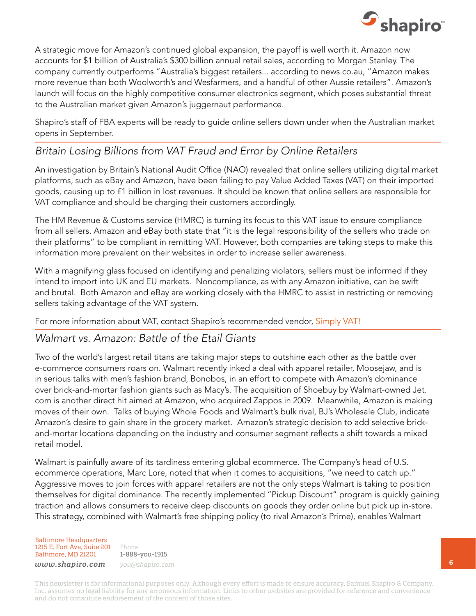

A strategic move for Amazon's continued global expansion, the payoff is well worth it. Amazon now accounts for \$1 billion of Australia's \$300 billion annual retail sales, according to Morgan Stanley. The company currently outperforms "Australia's biggest retailers... according to news.co.au, "Amazon makes more revenue than both Woolworth's and Wesfarmers, and a handful of other Aussie retailers". Amazon's launch will focus on the highly competitive consumer electronics segment, which poses substantial threat to the Australian market given Amazon's juggernaut performance.

Shapiro's staff of FBA experts will be ready to guide online sellers down under when the Australian market opens in September.

### *Britain Losing Billions from VAT Fraud and Error by Online Retailers*

An investigation by Britain's National Audit Office (NAO) revealed that online sellers utilizing digital market platforms, such as eBay and Amazon, have been failing to pay Value Added Taxes (VAT) on their imported goods, causing up to £1 billion in lost revenues. It should be known that online sellers are responsible for VAT compliance and should be charging their customers accordingly.

The HM Revenue & Customs service (HMRC) is turning its focus to this VAT issue to ensure compliance from all sellers. Amazon and eBay both state that "it is the legal responsibility of the sellers who trade on their platforms" to be compliant in remitting VAT. However, both companies are taking steps to make this information more prevalent on their websites in order to increase seller awareness.

With a magnifying glass focused on identifying and penalizing violators, sellers must be informed if they intend to import into UK and EU markets. Noncompliance, as with any Amazon initiative, can be swift and brutal. Both Amazon and eBay are working closely with the HMRC to assist in restricting or removing sellers taking advantage of the VAT system.

For more information about VAT, contact Shapiro's recommended vendor, [Simply VAT!](http://www.simplyvat.com/idevaffiliate/traffic.php?id=116)

#### *Walmart vs. Amazon: Battle of the Etail Giants*

Two of the world's largest retail titans are taking major steps to outshine each other as the battle over e-commerce consumers roars on. Walmart recently inked a deal with apparel retailer, Moosejaw, and is in serious talks with men's fashion brand, Bonobos, in an effort to compete with Amazon's dominance over brick-and-mortar fashion giants such as Macy's. The acquisition of Shoebuy by Walmart-owned Jet. com is another direct hit aimed at Amazon, who acquired Zappos in 2009. Meanwhile, Amazon is making moves of their own. Talks of buying Whole Foods and Walmart's bulk rival, BJ's Wholesale Club, indicate Amazon's desire to gain share in the grocery market. Amazon's strategic decision to add selective brickand-mortar locations depending on the industry and consumer segment reflects a shift towards a mixed retail model.

Walmart is painfully aware of its tardiness entering global ecommerce. The Company's head of U.S. ecommerce operations, Marc Lore, noted that when it comes to acquisitions, "we need to catch up." Aggressive moves to join forces with apparel retailers are not the only steps Walmart is taking to position themselves for digital dominance. The recently implemented "Pickup Discount" program is quickly gaining traction and allows consumers to receive deep discounts on goods they order online but pick up in-store. This strategy, combined with Walmart's free shipping policy (to rival Amazon's Prime), enables Walmart

Baltimore Headquarters 1215 E. Fort Ave, Suite 201 Baltimore, MD 21201

Phone 1-888-you-1915 *www.shapiro.com you@shapiro.com*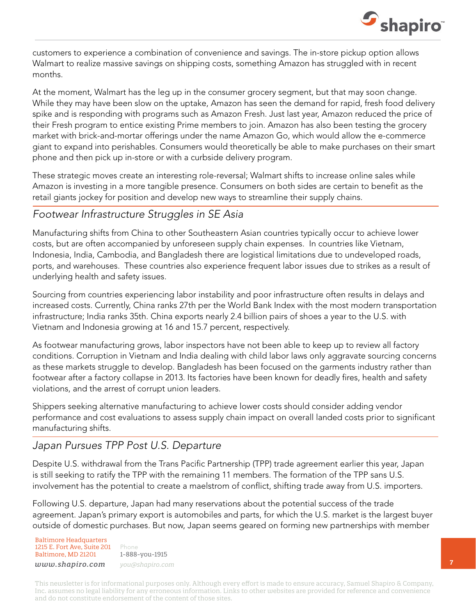

customers to experience a combination of convenience and savings. The in-store pickup option allows Walmart to realize massive savings on shipping costs, something Amazon has struggled with in recent months.

At the moment, Walmart has the leg up in the consumer grocery segment, but that may soon change. While they may have been slow on the uptake, Amazon has seen the demand for rapid, fresh food delivery spike and is responding with programs such as Amazon Fresh. Just last year, Amazon reduced the price of their Fresh program to entice existing Prime members to join. Amazon has also been testing the grocery market with brick-and-mortar offerings under the name Amazon Go, which would allow the e-commerce giant to expand into perishables. Consumers would theoretically be able to make purchases on their smart phone and then pick up in-store or with a curbside delivery program.

These strategic moves create an interesting role-reversal; Walmart shifts to increase online sales while Amazon is investing in a more tangible presence. Consumers on both sides are certain to benefit as the retail giants jockey for position and develop new ways to streamline their supply chains.

#### *Footwear Infrastructure Struggles in SE Asia*

Manufacturing shifts from China to other Southeastern Asian countries typically occur to achieve lower costs, but are often accompanied by unforeseen supply chain expenses. In countries like Vietnam, Indonesia, India, Cambodia, and Bangladesh there are logistical limitations due to undeveloped roads, ports, and warehouses. These countries also experience frequent labor issues due to strikes as a result of underlying health and safety issues.

Sourcing from countries experiencing labor instability and poor infrastructure often results in delays and increased costs. Currently, China ranks 27th per the World Bank Index with the most modern transportation infrastructure; India ranks 35th. China exports nearly 2.4 billion pairs of shoes a year to the U.S. with Vietnam and Indonesia growing at 16 and 15.7 percent, respectively.

As footwear manufacturing grows, labor inspectors have not been able to keep up to review all factory conditions. Corruption in Vietnam and India dealing with child labor laws only aggravate sourcing concerns as these markets struggle to develop. Bangladesh has been focused on the garments industry rather than footwear after a factory collapse in 2013. Its factories have been known for deadly fires, health and safety violations, and the arrest of corrupt union leaders.

Shippers seeking alternative manufacturing to achieve lower costs should consider adding vendor performance and cost evaluations to assess supply chain impact on overall landed costs prior to significant manufacturing shifts.

### *Japan Pursues TPP Post U.S. Departure*

Despite U.S. withdrawal from the Trans Pacific Partnership (TPP) trade agreement earlier this year, Japan is still seeking to ratify the TPP with the remaining 11 members. The formation of the TPP sans U.S. involvement has the potential to create a maelstrom of conflict, shifting trade away from U.S. importers.

Following U.S. departure, Japan had many reservations about the potential success of the trade agreement. Japan's primary export is automobiles and parts, for which the U.S. market is the largest buyer outside of domestic purchases. But now, Japan seems geared on forming new partnerships with member

Baltimore Headquarters 1215 E. Fort Ave, Suite 201 Baltimore, MD 21201

Phone 1-888-you-1915 *www.shapiro.com you@shapiro.com*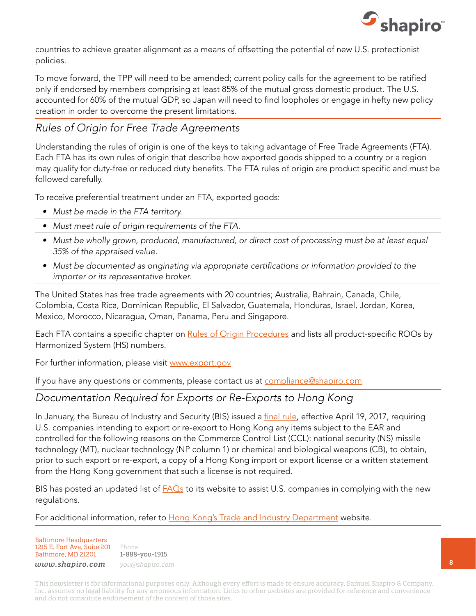

countries to achieve greater alignment as a means of offsetting the potential of new U.S. protectionist policies.

To move forward, the TPP will need to be amended; current policy calls for the agreement to be ratified only if endorsed by members comprising at least 85% of the mutual gross domestic product. The U.S. accounted for 60% of the mutual GDP, so Japan will need to find loopholes or engage in hefty new policy creation in order to overcome the present limitations.

# *Rules of Origin for Free Trade Agreements*

Understanding the rules of origin is one of the keys to taking advantage of Free Trade Agreements (FTA). Each FTA has its own rules of origin that describe how exported goods shipped to a country or a region may qualify for duty-free or reduced duty benefits. The FTA rules of origin are product specific and must be followed carefully.

To receive preferential treatment under an FTA, exported goods:

- *• Must be made in the FTA territory.*
- *• Must meet rule of origin requirements of the FTA.*
- Must be wholly grown, produced, manufactured, or direct cost of processing must be at least equal *35% of the appraised value.*
- *• Must be documented as originating via appropriate certifications or information provided to the importer or its representative broker.*

The United States has free trade agreements with 20 countries; Australia, Bahrain, Canada, Chile, Colombia, Costa Rica, Dominican Republic, El Salvador, Guatemala, Honduras, Israel, Jordan, Korea, Mexico, Morocco, Nicaragua, Oman, Panama, Peru and Singapore.

Each FTA contains a specific chapter on [Rules of Origin Procedures](https://ustr.gov/trade-agreements/free-trade-agreements) and lists all product-specific ROOs by Harmonized System (HS) numbers.

For further information, please visit [www.export.gov](http://www.export.gov/)

If you have any questions or comments, please contact us at [compliance@shapiro.com](mailto:compliance@shapiro.com)

### *Documentation Required for Exports or Re-Exports to Hong Kong*

In January, the Bureau of Industry and Security (BIS) issued a [final rule,](https://www.bis.doc.gov/index.php/forms-documents/about-bis/1643-82-fr-6218-1/file) effective April 19, 2017, requiring U.S. companies intending to export or re-export to Hong Kong any items subject to the EAR and controlled for the following reasons on the Commerce Control List (CCL): national security (NS) missile technology (MT), nuclear technology (NP column 1) or chemical and biological weapons (CB), to obtain, prior to such export or re-export, a copy of a Hong Kong import or export license or a written statement from the Hong Kong government that such a license is not required.

BIS has posted an updated list of  $FAOs$  to its website to assist U.S. companies in complying with the new regulations.

For additional information, refer to [Hong Kong's Trade and Industry Department](https://www.stc.tid.gov.hk/eindex.html) website.

Baltimore Headquarters 1215 E. Fort Ave, Suite 201 Baltimore, MD 21201

Phone 1-888-you-1915

*www.shapiro.com you@shapiro.com*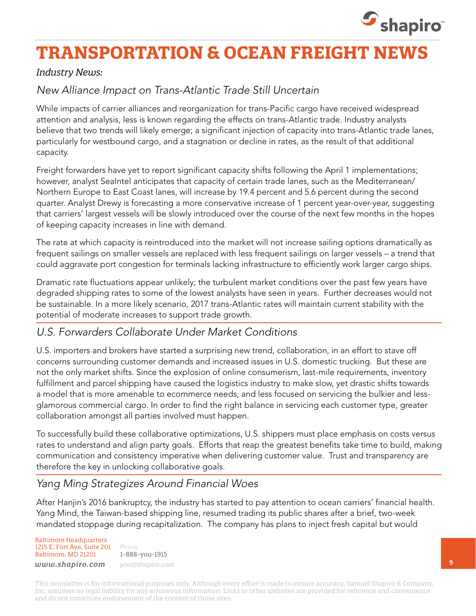

# **TRANSPORTATION & OCEAN FREIGHT NEWS**

#### *Industry News:*

# *New Alliance Impact on Trans-Atlantic Trade Still Uncertain*

While impacts of carrier alliances and reorganization for trans-Pacific cargo have received widespread attention and analysis, less is known regarding the effects on trans-Atlantic trade. Industry analysts believe that two trends will likely emerge; a significant injection of capacity into trans-Atlantic trade lanes, particularly for westbound cargo, and a stagnation or decline in rates, as the result of that additional capacity.

Freight forwarders have yet to report significant capacity shifts following the April 1 implementations; however, analyst SeaIntel anticipates that capacity of certain trade lanes, such as the Mediterranean/ Northern Europe to East Coast lanes, will increase by 19.4 percent and 5.6 percent during the second quarter. Analyst Drewy is forecasting a more conservative increase of 1 percent year-over-year, suggesting that carriers' largest vessels will be slowly introduced over the course of the next few months in the hopes of keeping capacity increases in line with demand.

The rate at which capacity is reintroduced into the market will not increase sailing options dramatically as frequent sailings on smaller vessels are replaced with less frequent sailings on larger vessels – a trend that could aggravate port congestion for terminals lacking infrastructure to efficiently work larger cargo ships.

Dramatic rate fluctuations appear unlikely; the turbulent market conditions over the past few years have degraded shipping rates to some of the lowest analysts have seen in years. Further decreases would not be sustainable. In a more likely scenario, 2017 trans-Atlantic rates will maintain current stability with the potential of moderate increases to support trade growth.

### *U.S. Forwarders Collaborate Under Market Conditions*

U.S. importers and brokers have started a surprising new trend, collaboration, in an effort to stave off concerns surrounding customer demands and increased issues in U.S. domestic trucking. But these are not the only market shifts. Since the explosion of online consumerism, last-mile requirements, inventory fulfillment and parcel shipping have caused the logistics industry to make slow, yet drastic shifts towards a model that is more amenable to ecommerce needs, and less focused on servicing the bulkier and lessglamorous commercial cargo. In order to find the right balance in servicing each customer type, greater collaboration amongst all parties involved must happen.

To successfully build these collaborative optimizations, U.S. shippers must place emphasis on costs versus rates to understand and align party goals. Efforts that reap the greatest benefits take time to build, making communication and consistency imperative when delivering customer value. Trust and transparency are therefore the key in unlocking collaborative goals.

## *Yang Ming Strategizes Around Financial Woes*

After Hanjin's 2016 bankruptcy, the industry has started to pay attention to ocean carriers' financial health. Yang Mind, the Taiwan-based shipping line, resumed trading its public shares after a brief, two-week mandated stoppage during recapitalization. The company has plans to inject fresh capital but would

Baltimore Headquarters 1215 E. Fort Ave, Suite 201 Baltimore, MD 21201 *www.shapiro.com you@shapiro.com*

Phone 1-888-you-1915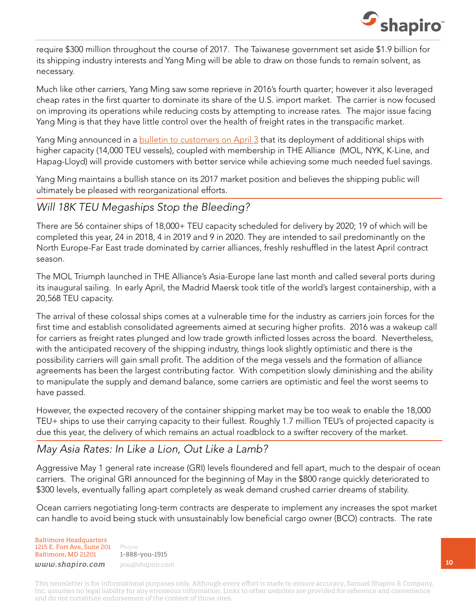

require \$300 million throughout the course of 2017. The Taiwanese government set aside \$1.9 billion for its shipping industry interests and Yang Ming will be able to draw on those funds to remain solvent, as necessary.

Much like other carriers, Yang Ming saw some reprieve in 2016's fourth quarter; however it also leveraged cheap rates in the first quarter to dominate its share of the U.S. import market. The carrier is now focused on improving its operations while reducing costs by attempting to increase rates. The major issue facing Yang Ming is that they have little control over the health of freight rates in the transpacific market.

Yang Ming announced in a **[bulletin to customers on April 3](https://www.yangming.com/news/press_release/PressContent.aspx?BulletinType=Notice&uid=2431)** that its deployment of additional ships with higher capacity (14,000 TEU vessels), coupled with membership in THE Alliance (MOL, NYK, K-Line, and Hapag-Lloyd) will provide customers with better service while achieving some much needed fuel savings.

Yang Ming maintains a bullish stance on its 2017 market position and believes the shipping public will ultimately be pleased with reorganizational efforts.

### *Will 18K TEU Megaships Stop the Bleeding?*

There are 56 container ships of 18,000+ TEU capacity scheduled for delivery by 2020; 19 of which will be completed this year, 24 in 2018, 4 in 2019 and 9 in 2020. They are intended to sail predominantly on the North Europe-Far East trade dominated by carrier alliances, freshly reshuffled in the latest April contract season.

The MOL Triumph launched in THE Alliance's Asia-Europe lane last month and called several ports during its inaugural sailing. In early April, the Madrid Maersk took title of the world's largest containership, with a 20,568 TEU capacity.

The arrival of these colossal ships comes at a vulnerable time for the industry as carriers join forces for the first time and establish consolidated agreements aimed at securing higher profits. 2016 was a wakeup call for carriers as freight rates plunged and low trade growth inflicted losses across the board. Nevertheless, with the anticipated recovery of the shipping industry, things look slightly optimistic and there is the possibility carriers will gain small profit. The addition of the mega vessels and the formation of alliance agreements has been the largest contributing factor. With competition slowly diminishing and the ability to manipulate the supply and demand balance, some carriers are optimistic and feel the worst seems to have passed.

However, the expected recovery of the container shipping market may be too weak to enable the 18,000 TEU+ ships to use their carrying capacity to their fullest. Roughly 1.7 million TEU's of projected capacity is due this year, the delivery of which remains an actual roadblock to a swifter recovery of the market.

### *May Asia Rates: In Like a Lion, Out Like a Lamb?*

Aggressive May 1 general rate increase (GRI) levels floundered and fell apart, much to the despair of ocean carriers. The original GRI announced for the beginning of May in the \$800 range quickly deteriorated to \$300 levels, eventually falling apart completely as weak demand crushed carrier dreams of stability.

Ocean carriers negotiating long-term contracts are desperate to implement any increases the spot market can handle to avoid being stuck with unsustainably low beneficial cargo owner (BCO) contracts. The rate

Baltimore Headquarters 1215 E. Fort Ave, Suite 201 Baltimore, MD 21201

Phone 1-888-you-1915 *www.shapiro.com you@shapiro.com*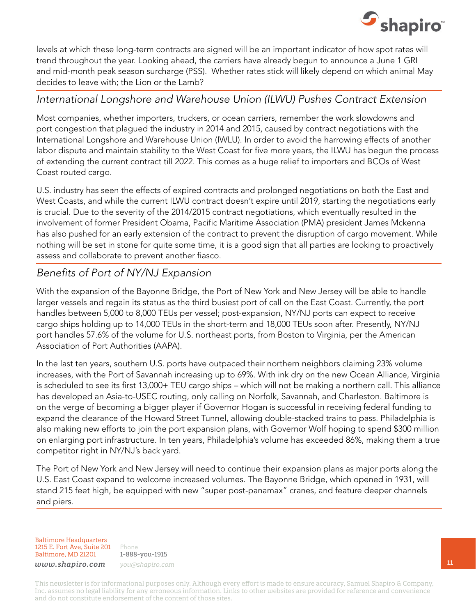

levels at which these long-term contracts are signed will be an important indicator of how spot rates will trend throughout the year. Looking ahead, the carriers have already begun to announce a June 1 GRI and mid-month peak season surcharge (PSS). Whether rates stick will likely depend on which animal May decides to leave with; the Lion or the Lamb?

#### *International Longshore and Warehouse Union (ILWU) Pushes Contract Extension*

Most companies, whether importers, truckers, or ocean carriers, remember the work slowdowns and port congestion that plagued the industry in 2014 and 2015, caused by contract negotiations with the International Longshore and Warehouse Union (IWLU). In order to avoid the harrowing effects of another labor dispute and maintain stability to the West Coast for five more years, the ILWU has begun the process of extending the current contract till 2022. This comes as a huge relief to importers and BCOs of West Coast routed cargo.

U.S. industry has seen the effects of expired contracts and prolonged negotiations on both the East and West Coasts, and while the current ILWU contract doesn't expire until 2019, starting the negotiations early is crucial. Due to the severity of the 2014/2015 contract negotiations, which eventually resulted in the involvement of former President Obama, Pacific Maritime Association (PMA) president James Mckenna has also pushed for an early extension of the contract to prevent the disruption of cargo movement. While nothing will be set in stone for quite some time, it is a good sign that all parties are looking to proactively assess and collaborate to prevent another fiasco.

## *Benefits of Port of NY/NJ Expansion*

With the expansion of the Bayonne Bridge, the Port of New York and New Jersey will be able to handle larger vessels and regain its status as the third busiest port of call on the East Coast. Currently, the port handles between 5,000 to 8,000 TEUs per vessel; post-expansion, NY/NJ ports can expect to receive cargo ships holding up to 14,000 TEUs in the short-term and 18,000 TEUs soon after. Presently, NY/NJ port handles 57.6% of the volume for U.S. northeast ports, from Boston to Virginia, per the American Association of Port Authorities (AAPA).

In the last ten years, southern U.S. ports have outpaced their northern neighbors claiming 23% volume increases, with the Port of Savannah increasing up to 69%. With ink dry on the new Ocean Alliance, Virginia is scheduled to see its first 13,000+ TEU cargo ships – which will not be making a northern call. This alliance has developed an Asia-to-USEC routing, only calling on Norfolk, Savannah, and Charleston. Baltimore is on the verge of becoming a bigger player if Governor Hogan is successful in receiving federal funding to expand the clearance of the Howard Street Tunnel, allowing double-stacked trains to pass. Philadelphia is also making new efforts to join the port expansion plans, with Governor Wolf hoping to spend \$300 million on enlarging port infrastructure. In ten years, Philadelphia's volume has exceeded 86%, making them a true competitor right in NY/NJ's back yard.

The Port of New York and New Jersey will need to continue their expansion plans as major ports along the U.S. East Coast expand to welcome increased volumes. The Bayonne Bridge, which opened in 1931, will stand 215 feet high, be equipped with new "super post-panamax" cranes, and feature deeper channels and piers.

Baltimore Headquarters 1215 E. Fort Ave, Suite 201 Baltimore, MD 21201

Phone 1-888-you-1915 *www.shapiro.com you@shapiro.com*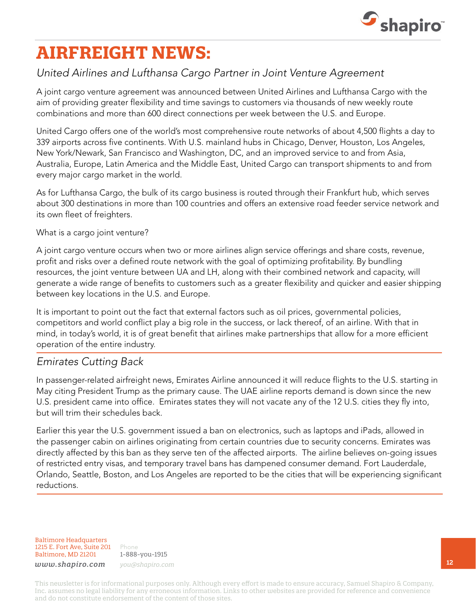

# **AIRFREIGHT NEWS:**

### *United Airlines and Lufthansa Cargo Partner in Joint Venture Agreement*

A joint cargo venture agreement was announced between United Airlines and Lufthansa Cargo with the aim of providing greater flexibility and time savings to customers via thousands of new weekly route combinations and more than 600 direct connections per week between the U.S. and Europe.

United Cargo offers one of the world's most comprehensive route networks of about 4,500 flights a day to 339 airports across five continents. With U.S. mainland hubs in Chicago, Denver, Houston, Los Angeles, New York/Newark, San Francisco and Washington, DC, and an improved service to and from Asia, Australia, Europe, Latin America and the Middle East, United Cargo can transport shipments to and from every major cargo market in the world.

As for Lufthansa Cargo, the bulk of its cargo business is routed through their Frankfurt hub, which serves about 300 destinations in more than 100 countries and offers an extensive road feeder service network and its own fleet of freighters.

#### What is a cargo joint venture?

A joint cargo venture occurs when two or more airlines align service offerings and share costs, revenue, profit and risks over a defined route network with the goal of optimizing profitability. By bundling resources, the joint venture between UA and LH, along with their combined network and capacity, will generate a wide range of benefits to customers such as a greater flexibility and quicker and easier shipping between key locations in the U.S. and Europe.

It is important to point out the fact that external factors such as oil prices, governmental policies, competitors and world conflict play a big role in the success, or lack thereof, of an airline. With that in mind, in today's world, it is of great benefit that airlines make partnerships that allow for a more efficient operation of the entire industry.

#### *Emirates Cutting Back*

In passenger-related airfreight news, Emirates Airline announced it will reduce flights to the U.S. starting in May citing President Trump as the primary cause. The UAE airline reports demand is down since the new U.S. president came into office. Emirates states they will not vacate any of the 12 U.S. cities they fly into, but will trim their schedules back.

Earlier this year the U.S. government issued a ban on electronics, such as laptops and iPads, allowed in the passenger cabin on airlines originating from certain countries due to security concerns. Emirates was directly affected by this ban as they serve ten of the affected airports. The airline believes on-going issues of restricted entry visas, and temporary travel bans has dampened consumer demand. Fort Lauderdale, Orlando, Seattle, Boston, and Los Angeles are reported to be the cities that will be experiencing significant reductions.

Baltimore Headquarters 1215 E. Fort Ave, Suite 201 Baltimore, MD 21201

Phone 1-888-you-1915 *www.shapiro.com you@shapiro.com*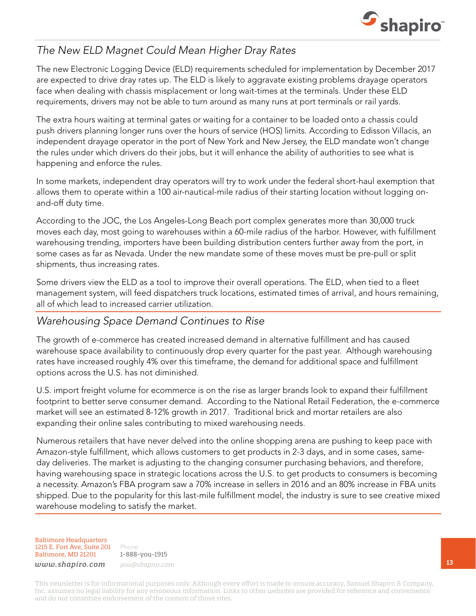

## *The New ELD Magnet Could Mean Higher Dray Rates*

The new Electronic Logging Device (ELD) requirements scheduled for implementation by December 2017 are expected to drive dray rates up. The ELD is likely to aggravate existing problems drayage operators face when dealing with chassis misplacement or long wait-times at the terminals. Under these ELD requirements, drivers may not be able to turn around as many runs at port terminals or rail yards.

The extra hours waiting at terminal gates or waiting for a container to be loaded onto a chassis could push drivers planning longer runs over the hours of service (HOS) limits. According to Edisson Villacis, an independent drayage operator in the port of New York and New Jersey, the ELD mandate won't change the rules under which drivers do their jobs, but it will enhance the ability of authorities to see what is happening and enforce the rules.

In some markets, independent dray operators will try to work under the federal short-haul exemption that allows them to operate within a 100 air-nautical-mile radius of their starting location without logging onand-off duty time.

According to the JOC, the Los Angeles-Long Beach port complex generates more than 30,000 truck moves each day, most going to warehouses within a 60-mile radius of the harbor. However, with fulfillment warehousing trending, importers have been building distribution centers further away from the port, in some cases as far as Nevada. Under the new mandate some of these moves must be pre-pull or split shipments, thus increasing rates.

Some drivers view the ELD as a tool to improve their overall operations. The ELD, when tied to a fleet management system, will feed dispatchers truck locations, estimated times of arrival, and hours remaining, all of which lead to increased carrier utilization.

### *Warehousing Space Demand Continues to Rise*

The growth of e-commerce has created increased demand in alternative fulfillment and has caused warehouse space availability to continuously drop every quarter for the past year. Although warehousing rates have increased roughly 4% over this timeframe, the demand for additional space and fulfillment options across the U.S. has not diminished.

U.S. import freight volume for ecommerce is on the rise as larger brands look to expand their fulfillment footprint to better serve consumer demand. According to the National Retail Federation, the e-commerce market will see an estimated 8-12% growth in 2017. Traditional brick and mortar retailers are also expanding their online sales contributing to mixed warehousing needs.

Numerous retailers that have never delved into the online shopping arena are pushing to keep pace with Amazon-style fulfillment, which allows customers to get products in 2-3 days, and in some cases, sameday deliveries. The market is adjusting to the changing consumer purchasing behaviors, and therefore, having warehousing space in strategic locations across the U.S. to get products to consumers is becoming a necessity. Amazon's FBA program saw a 70% increase in sellers in 2016 and an 80% increase in FBA units shipped. Due to the popularity for this last-mile fulfillment model, the industry is sure to see creative mixed warehouse modeling to satisfy the market.

#### Baltimore Headquarters 1215 E. Fort Ave, Suite 201 Baltimore, MD 21201

Phone 1-888-you-1915 *www.shapiro.com you@shapiro.com*